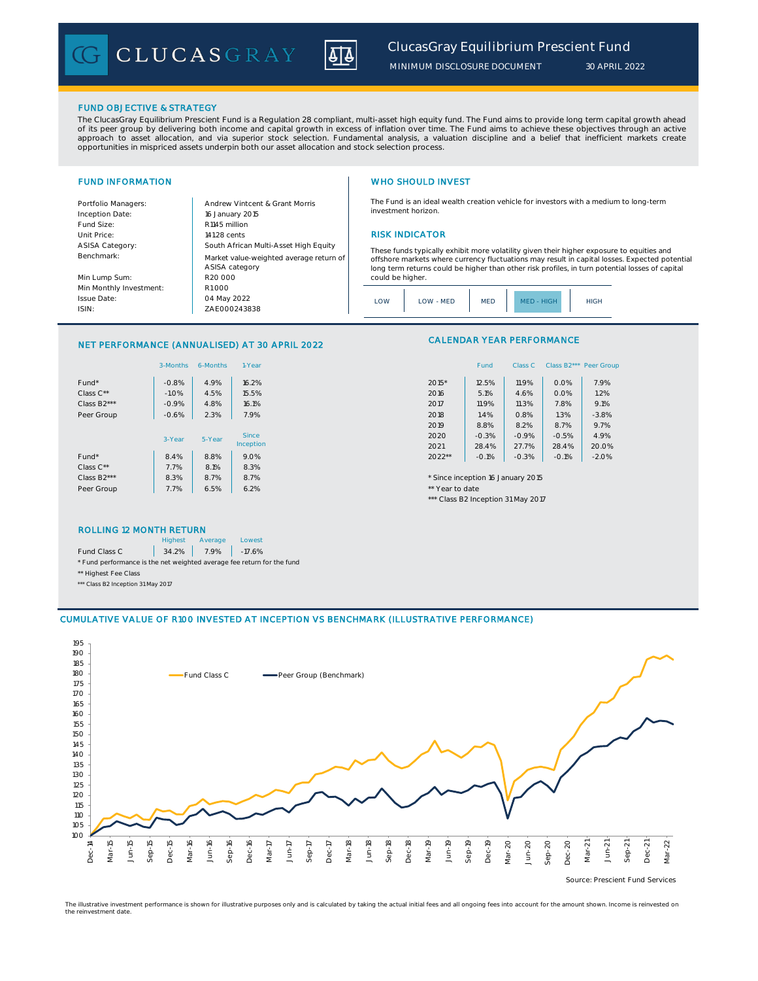

*MINIMUM DISCLOSURE DOCUMENT*

# FUND OBJECTIVE & STRATEGY

Fund Size: R1145 million

The ClucasGray Equilibrium Prescient Fund is a Regulation 28 compliant, multi-asset high equity fund. The Fund aims to provide long term capital growth ahead of its peer group by delivering both income and capital growth in excess of inflation over time. The Fund aims to achieve these objectives through an active<br>approach to asset allocation, and via superior stock selection. F opportunities in mispriced assets underpin both our asset allocation and stock selection process.

Inception Date:

ASISA Category: Benchmark: Min Lump Sum: Min Monthly Investment:

Issue Date: ISIN:

# FUND INFORMATION WHO SHOULD INVEST

The Fund is an ideal wealth creation vehicle for investors with a medium to long-term investment horizon.

### Unit Price: 141.28 cents 141.28 cents 141.28 cents 141.28 cents 141.28 cents 15 million RISK INDICATOR

These funds typically exhibit more volatility given their higher exposure to equities and offshore markets where currency fluctuations may result in capital losses. Expected potential long term returns could be higher than other risk profiles, in turn potential losses of capital could be higher.

Class C Class B2\*\*\* Peer Group



CALENDAR YEAR PERFORMANCE

\*\*\* Class B2 Inception 31 May 2017

## NET PERFORMANCE (ANNUALISED) AT 30 APRIL 2022

ZAE000243838

04 May 2022

ASISA category

R20 000

R1 000

16 January 2015

South African Multi-Asset High Equity

Market value-weighted average return of

Portfolio Managers: Andrew Vintcent & Grant Morris

|                   | 3-Months | 6-Months | 1-Year       | Class B <sub>2</sub> ***<br>Fund<br>Peer Gro<br>Class C |
|-------------------|----------|----------|--------------|---------------------------------------------------------|
| Fund <sup>*</sup> | $-0.8%$  | 4.9%     | 16.2%        | 2015*<br>7.9%<br>12.5%<br>11.9%<br>0.0%                 |
| Class $C^{**}$    | $-1.0%$  | 4.5%     | 15.5%        | 0.0%<br>1.2%<br>2016<br>5.1%<br>4.6%                    |
| Class B2***       | $-0.9%$  | 4.8%     | 16.1%        | 7.8%<br>9.1%<br>2017<br>11.9%<br>11.3%                  |
| Peer Group        | $-0.6%$  | 2.3%     | 7.9%         | 1.3%<br>$-3.8%$<br>2018<br>1.4%<br>0.8%                 |
|                   |          |          |              | 2019<br>8.8%<br>8.7%<br>9.7%<br>8.2%                    |
|                   | 3-Year   | 5-Year   | <b>Since</b> | 2020<br>$-0.5%$<br>4.9%<br>$-0.3%$<br>$-0.9%$           |
|                   |          |          | Inception    | 20.0%<br>2021<br>27.7%<br>28.4%<br>28.4%                |
| Fund <sup>*</sup> | 8.4%     | 8.8%     | 9.0%         | $2022**$<br>$-0.1%$<br>$-0.1%$<br>$-2.0%$<br>$-0.3%$    |
| Class $C^{**}$    | 7.7%     | 8.1%     | 8.3%         |                                                         |
| Class B2***       | 8.3%     | 8.7%     | 8.7%         | * Since inception 16 January 2015                       |
| Peer Group        | 7.7%     | 6.5%     | 6.2%         | ** Year to date                                         |
|                   |          |          |              |                                                         |

| ROLLING 12 MONTH RETURN                                                |         |         |        |  |  |  |  |
|------------------------------------------------------------------------|---------|---------|--------|--|--|--|--|
|                                                                        | Highest | Average | Lowest |  |  |  |  |
| Fund Class C 34.2% 7.9% -17.6%                                         |         |         |        |  |  |  |  |
| * Fund performance is the net weighted average fee return for the fund |         |         |        |  |  |  |  |
| ** Highest Fee Class                                                   |         |         |        |  |  |  |  |

\*\*\* Class B2 Inception 31 May 2017

# CUMULATIVE VALUE OF R100 INVESTED AT INCEPTION VS BENCHMARK (ILLUSTRATIVE PERFORMANCE)



The illustrative investment performance is shown for illustrative purposes only and is calculated by taking the actual initial fees and all ongoing fees into account for the amount shown. Income is reinvested on the reinvestment date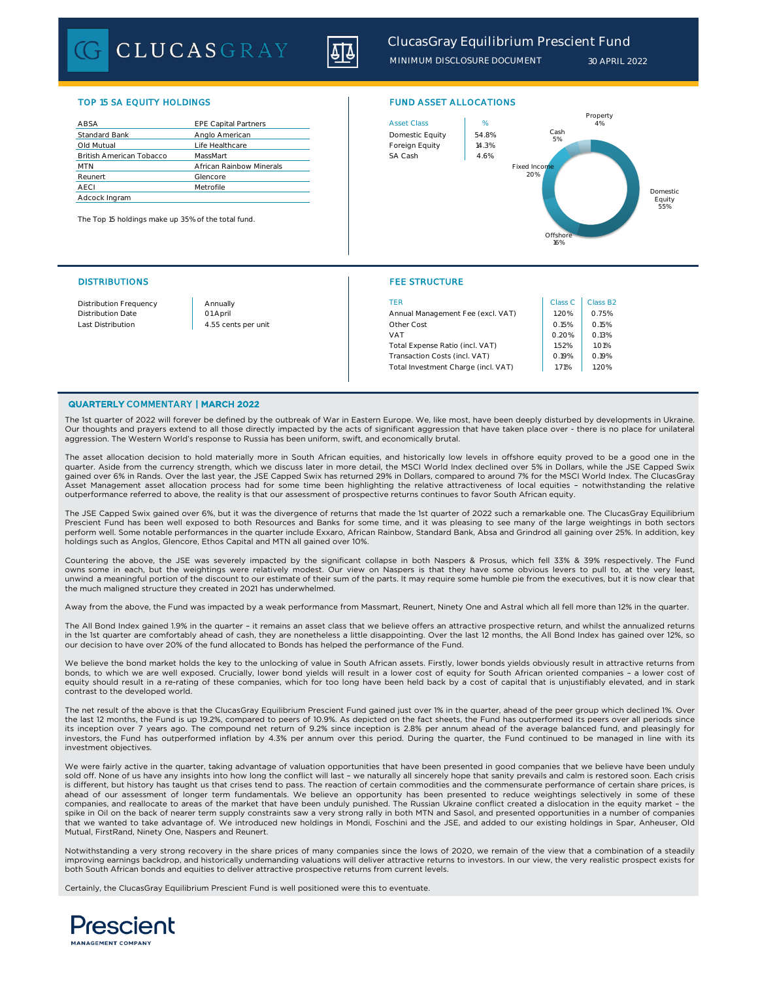CLUCASGRAY



*MINIMUM DISCLOSURE DOCUMENT 30 APRIL 2022*

## TOP 15 SA EQUITY HOLDINGS FUND ASSET ALLOCATIONS

| ABSA                            | <b>EPE Capital Partners</b> | <b>Asset Class</b> | %     |
|---------------------------------|-----------------------------|--------------------|-------|
| <b>Standard Bank</b>            | Anglo American              | Domestic Equity    | 54.89 |
| Old Mutual                      | Life Healthcare             | Foreign Equity     | 14.3% |
| <b>British American Tobacco</b> | MassMart                    | SA Cash            | 4.6%  |
| <b>MTN</b>                      | African Rainbow Minerals    |                    |       |
| Reunert                         | Glencore                    |                    |       |
| AECI                            | Metrofile                   |                    |       |
| Adcock Ingram                   |                             |                    |       |

The Top 15 holdings make up 35% of the total fund.



### DISTRIBUTIONS FEE STRUCTURE

| <b>Distribution Frequency</b> | Annually            | TER                                 | Class C | Class B2 |
|-------------------------------|---------------------|-------------------------------------|---------|----------|
| <b>Distribution Date</b>      | 01 April            | Annual Management Fee (excl. VAT)   | .20%    | 0.75%    |
| Last Distribution             | 4.55 cents per unit | Other Cost                          | 0.15%   | 0.15%    |
|                               |                     | VAT                                 | 0.20%   | 0.13%    |
|                               |                     | Total Expense Ratio (incl. VAT)     | .52%    | 1.01%    |
|                               |                     | Transaction Costs (incl. VAT)       | 0.19%   | 0.19%    |
|                               |                     | Total Investment Charge (incl. VAT) | i.71%   | .20%     |

## QUARTERLY COMMENTARY | MARCH 2022

The 1st quarter of 2022 will forever be defined by the outbreak of War in Eastern Europe. We, like most, have been deeply disturbed by developments in Ukraine. Our thoughts and prayers extend to all those directly impacted by the acts of significant aggression that have taken place over - there is no place for unilateral aggression. The Western World's response to Russia has been uniform, swift, and economically brutal.

The asset allocation decision to hold materially more in South African equities, and historically low levels in offshore equity proved to be a good one in the quarter. Aside from the currency strength, which we discuss later in more detail, the MSCI World Index declined over 5% in Dollars, while the JSE Capped Swix gained over 6% in Rands. Over the last year, the JSE Capped Swix has returned 29% in Dollars, compared to around 7% for the MSCI World Index. The ClucasGray Asset Management asset allocation process had for some time been highlighting the relative attractiveness of local equities – notwithstanding the relative outperformance referred to above, the reality is that our assessment of prospective returns continues to favor South African equity.

The JSE Capped Swix gained over 6%, but it was the divergence of returns that made the 1st quarter of 2022 such a remarkable one. The ClucasGray Equilibrium Prescient Fund has been well exposed to both Resources and Banks for some time, and it was pleasing to see many of the large weightings in both sectors perform well. Some notable performances in the quarter include Exxaro, African Rainbow, Standard Bank, Absa and Grindrod all gaining over 25%. In addition, key holdings such as Anglos, Glencore, Ethos Capital and MTN all gained over 10%.

Countering the above, the JSE was severely impacted by the significant collapse in both Naspers & Prosus, which fell 33% & 39% respectively. The Fund owns some in each, but the weightings were relatively modest. Our view on Naspers is that they have some obvious levers to pull to, at the very least, unwind a meaningful portion of the discount to our estimate of their sum of the parts. It may require some humble pie from the executives, but it is now clear that the much maligned structure they created in 2021 has underwhelmed.

Away from the above, the Fund was impacted by a weak performance from Massmart, Reunert, Ninety One and Astral which all fell more than 12% in the quarter.

The All Bond Index gained 1.9% in the quarter - it remains an asset class that we believe offers an attractive prospective return, and whilst the annualized returns in the 1st quarter are comfortably ahead of cash, they are nonetheless a little disappointing. Over the last 12 months, the All Bond Index has gained over 12%, so our decision to have over 20% of the fund allocated to Bonds has helped the performance of the Fund.

We believe the bond market holds the key to the unlocking of value in South African assets. Firstly, lower bonds yields obviously result in attractive returns from bonds, to which we are well exposed. Crucially, lower bond yields will result in a lower cost of equity for South African oriented companies – a lower cost of equity should result in a re-rating of these companies, which for too long have been held back by a cost of capital that is unjustifiably elevated, and in stark contrast to the developed world.

The net result of the above is that the ClucasGray Equilibrium Prescient Fund gained just over 1% in the quarter, ahead of the peer group which declined 1%. Over the last 12 months, the Fund is up 19.2%, compared to peers of 10.9%. As depicted on the fact sheets, the Fund has outperformed its peers over all periods since its inception over 7 years ago. The compound net return of 9.2% since inception is 2.8% per annum ahead of the average balanced fund, and pleasingly for investors, the Fund has outperformed inflation by 4.3% per annum over this period. During the quarter, the Fund continued to be managed in line with its investment objectives.

We were fairly active in the quarter, taking advantage of valuation opportunities that have been presented in good companies that we believe have been unduly sold off. None of us have any insights into how long the conflict will last - we naturally all sincerely hope that sanity prevails and calm is restored soon. Each crisis is different, but history has taught us that crises tend to pass. The reaction of certain commodities and the commensurate performance of certain share prices, is ahead of our assessment of longer term fundamentals. We believe an opportunity has been presented to reduce weightings selectively in some of these companies, and reallocate to areas of the market that have been unduly punished. The Russian Ukraine conflict created a dislocation in the equity market – the spike in Oil on the back of nearer term supply constraints saw a very strong rally in both MTN and Sasol, and presented opportunities in a number of companies that we wanted to take advantage of. We introduced new holdings in Mondi, Foschini and the JSE, and added to our existing holdings in Spar, Anheuser, Old Mutual, FirstRand, Ninety One, Naspers and Reunert.

Notwithstanding a very strong recovery in the share prices of many companies since the lows of 2020, we remain of the view that a combination of a steadily improving earnings backdrop, and historically undemanding valuations will deliver attractive returns to investors. In our view, the very realistic prospect exists for both South African bonds and equities to deliver attractive prospective returns from current levels.

Certainly, the ClucasGray Equilibrium Prescient Fund is well positioned were this to eventuate.